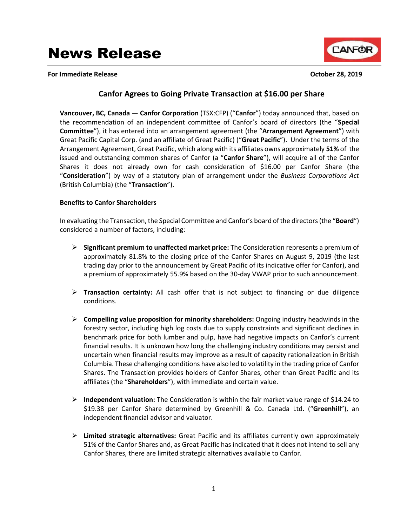**For Immediate Release October 28, 2019**



# **Canfor Agrees to Going Private Transaction at \$16.00 per Share**

**Vancouver, BC, Canada** — **Canfor Corporation** (TSX:CFP) ("**Canfor**") today announced that, based on the recommendation of an independent committee of Canfor's board of directors (the "**Special Committee**"), it has entered into an arrangement agreement (the "**Arrangement Agreement**") with Great Pacific Capital Corp. (and an affiliate of Great Pacific) ("**Great Pacific**"). Under the terms of the Arrangement Agreement, Great Pacific, which along with its affiliates owns approximately **51%** of the issued and outstanding common shares of Canfor (a "**Canfor Share**"), will acquire all of the Canfor Shares it does not already own for cash consideration of \$16.00 per Canfor Share (the "**Consideration**") by way of a statutory plan of arrangement under the *Business Corporations Act* (British Columbia) (the "**Transaction**").

## **Benefits to Canfor Shareholders**

In evaluating the Transaction, the Special Committee and Canfor's board of the directors (the "**Board**") considered a number of factors, including:

- **Significant premium to unaffected market price:** The Consideration represents a premium of approximately 81.8% to the closing price of the Canfor Shares on August 9, 2019 (the last trading day prior to the announcement by Great Pacific of its indicative offer for Canfor), and a premium of approximately 55.9% based on the 30-day VWAP prior to such announcement.
- **Transaction certainty:** All cash offer that is not subject to financing or due diligence conditions.
- **Compelling value proposition for minority shareholders:** Ongoing industry headwinds in the forestry sector, including high log costs due to supply constraints and significant declines in benchmark price for both lumber and pulp, have had negative impacts on Canfor's current financial results. It is unknown how long the challenging industry conditions may persist and uncertain when financial results may improve as a result of capacity rationalization in British Columbia. These challenging conditions have also led to volatility in the trading price of Canfor Shares. The Transaction provides holders of Canfor Shares, other than Great Pacific and its affiliates (the "**Shareholders**"), with immediate and certain value.
- **Independent valuation:** The Consideration is within the fair market value range of \$14.24 to \$19.38 per Canfor Share determined by Greenhill & Co. Canada Ltd. ("**Greenhill**"), an independent financial advisor and valuator.
- **Limited strategic alternatives:** Great Pacific and its affiliates currently own approximately 51% of the Canfor Shares and, as Great Pacific has indicated that it does not intend to sell any Canfor Shares, there are limited strategic alternatives available to Canfor.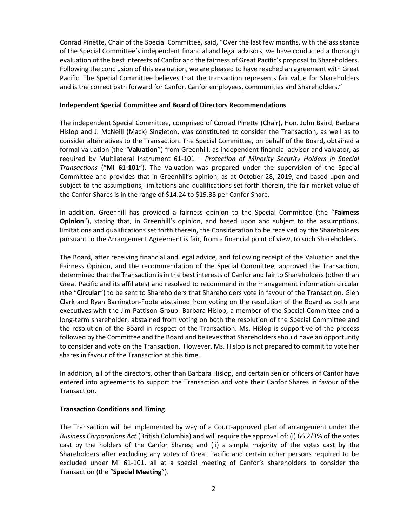Conrad Pinette, Chair of the Special Committee, said, "Over the last few months, with the assistance of the Special Committee's independent financial and legal advisors, we have conducted a thorough evaluation of the best interests of Canfor and the fairness of Great Pacific's proposal to Shareholders. Following the conclusion of this evaluation, we are pleased to have reached an agreement with Great Pacific. The Special Committee believes that the transaction represents fair value for Shareholders and is the correct path forward for Canfor, Canfor employees, communities and Shareholders."

#### **Independent Special Committee and Board of Directors Recommendations**

The independent Special Committee, comprised of Conrad Pinette (Chair), Hon. John Baird, Barbara Hislop and J. McNeill (Mack) Singleton, was constituted to consider the Transaction, as well as to consider alternatives to the Transaction. The Special Committee, on behalf of the Board, obtained a formal valuation (the "**Valuation**") from Greenhill, as independent financial advisor and valuator, as required by Multilateral Instrument 61-101 – *Protection of Minority Security Holders in Special Transactions* ("**MI 61-101**"). The Valuation was prepared under the supervision of the Special Committee and provides that in Greenhill's opinion, as at October 28, 2019, and based upon and subject to the assumptions, limitations and qualifications set forth therein, the fair market value of the Canfor Shares is in the range of \$14.24 to \$19.38 per Canfor Share.

In addition, Greenhill has provided a fairness opinion to the Special Committee (the "**Fairness Opinion**"), stating that, in Greenhill's opinion, and based upon and subject to the assumptions, limitations and qualifications set forth therein, the Consideration to be received by the Shareholders pursuant to the Arrangement Agreement is fair, from a financial point of view, to such Shareholders.

The Board, after receiving financial and legal advice, and following receipt of the Valuation and the Fairness Opinion, and the recommendation of the Special Committee, approved the Transaction, determined that the Transaction is in the best interests of Canfor and fair to Shareholders (other than Great Pacific and its affiliates) and resolved to recommend in the management information circular (the "**Circular**") to be sent to Shareholders that Shareholders vote in favour of the Transaction. Glen Clark and Ryan Barrington-Foote abstained from voting on the resolution of the Board as both are executives with the Jim Pattison Group. Barbara Hislop, a member of the Special Committee and a long-term shareholder, abstained from voting on both the resolution of the Special Committee and the resolution of the Board in respect of the Transaction. Ms. Hislop is supportive of the process followed by the Committee and the Board and believes that Shareholders should have an opportunity to consider and vote on the Transaction. However, Ms. Hislop is not prepared to commit to vote her shares in favour of the Transaction at this time.

In addition, all of the directors, other than Barbara Hislop, and certain senior officers of Canfor have entered into agreements to support the Transaction and vote their Canfor Shares in favour of the Transaction.

# **Transaction Conditions and Timing**

The Transaction will be implemented by way of a Court-approved plan of arrangement under the *Business Corporations Act* (British Columbia) and will require the approval of: (i) 66 2/3% of the votes cast by the holders of the Canfor Shares; and (ii) a simple majority of the votes cast by the Shareholders after excluding any votes of Great Pacific and certain other persons required to be excluded under MI 61-101, all at a special meeting of Canfor's shareholders to consider the Transaction (the "**Special Meeting**").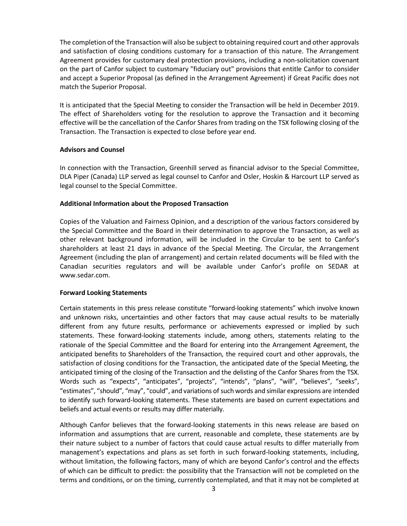The completion of the Transaction will also be subject to obtaining required court and other approvals and satisfaction of closing conditions customary for a transaction of this nature. The Arrangement Agreement provides for customary deal protection provisions, including a non-solicitation covenant on the part of Canfor subject to customary "fiduciary out" provisions that entitle Canfor to consider and accept a Superior Proposal (as defined in the Arrangement Agreement) if Great Pacific does not match the Superior Proposal.

It is anticipated that the Special Meeting to consider the Transaction will be held in December 2019. The effect of Shareholders voting for the resolution to approve the Transaction and it becoming effective will be the cancellation of the Canfor Shares from trading on the TSX following closing of the Transaction. The Transaction is expected to close before year end.

## **Advisors and Counsel**

In connection with the Transaction, Greenhill served as financial advisor to the Special Committee, DLA Piper (Canada) LLP served as legal counsel to Canfor and Osler, Hoskin & Harcourt LLP served as legal counsel to the Special Committee.

#### **Additional Information about the Proposed Transaction**

Copies of the Valuation and Fairness Opinion, and a description of the various factors considered by the Special Committee and the Board in their determination to approve the Transaction, as well as other relevant background information, will be included in the Circular to be sent to Canfor's shareholders at least 21 days in advance of the Special Meeting. The Circular, the Arrangement Agreement (including the plan of arrangement) and certain related documents will be filed with the Canadian securities regulators and will be available under Canfor's profile on SEDAR at www.sedar.com.

# **Forward Looking Statements**

Certain statements in this press release constitute "forward-looking statements" which involve known and unknown risks, uncertainties and other factors that may cause actual results to be materially different from any future results, performance or achievements expressed or implied by such statements. These forward-looking statements include, among others, statements relating to the rationale of the Special Committee and the Board for entering into the Arrangement Agreement, the anticipated benefits to Shareholders of the Transaction, the required court and other approvals, the satisfaction of closing conditions for the Transaction, the anticipated date of the Special Meeting, the anticipated timing of the closing of the Transaction and the delisting of the Canfor Shares from the TSX. Words such as "expects", "anticipates", "projects", "intends", "plans", "will", "believes", "seeks", "estimates", "should", "may", "could", and variations of such words and similar expressions are intended to identify such forward-looking statements. These statements are based on current expectations and beliefs and actual events or results may differ materially.

Although Canfor believes that the forward-looking statements in this news release are based on information and assumptions that are current, reasonable and complete, these statements are by their nature subject to a number of factors that could cause actual results to differ materially from management's expectations and plans as set forth in such forward-looking statements, including, without limitation, the following factors, many of which are beyond Canfor's control and the effects of which can be difficult to predict: the possibility that the Transaction will not be completed on the terms and conditions, or on the timing, currently contemplated, and that it may not be completed at